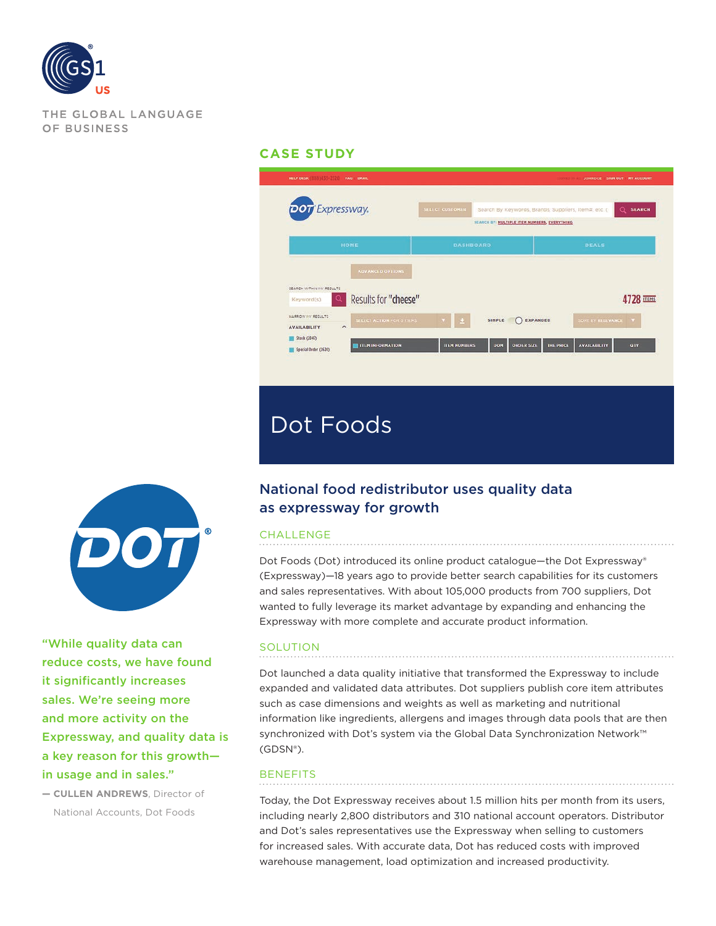

THE GLOBAL LANGUAGE OF BUSINESS

### **CASE STUDY**





"While quality data can reduce costs, we have found it significantly increases sales. We're seeing more and more activity on the Expressway, and quality data is a key reason for this growth in usage and in sales."

**— CULLEN ANDREWS**, Director of National Accounts, Dot Foods

# National food redistributor uses quality data as expressway for growth

#### **CHALLENGE**

Dot Foods (Dot) introduced its online product catalogue—the Dot Expressway® (Expressway)—18 years ago to provide better search capabilities for its customers and sales representatives. With about 105,000 products from 700 suppliers, Dot wanted to fully leverage its market advantage by expanding and enhancing the Expressway with more complete and accurate product information.

#### SOLUTION

Dot launched a data quality initiative that transformed the Expressway to include expanded and validated data attributes. Dot suppliers publish core item attributes such as case dimensions and weights as well as marketing and nutritional information like ingredients, allergens and images through data pools that are then synchronized with Dot's system via the Global Data Synchronization Network™ (GDSN®).

## **BENEFITS**

Today, the Dot Expressway receives about 1.5 million hits per month from its users, including nearly 2,800 distributors and 310 national account operators. Distributor and Dot's sales representatives use the Expressway when selling to customers for increased sales. With accurate data, Dot has reduced costs with improved warehouse management, load optimization and increased productivity.